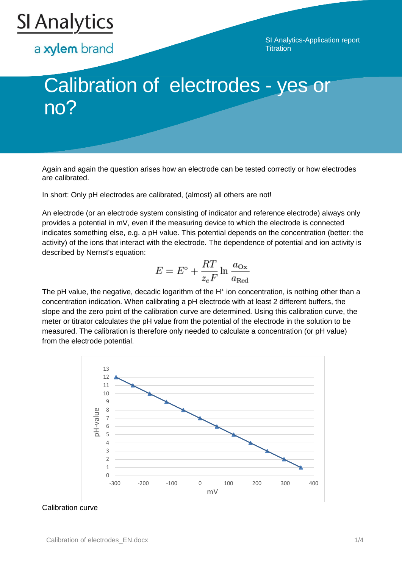

a xylem brand

SI Analytics-Application report **Titration** 

# Calibration of electrodes - yes or no?

Again and again the question arises how an electrode can be tested correctly or how electrodes are calibrated.

In short: Only pH electrodes are calibrated, (almost) all others are not!

An electrode (or an electrode system consisting of indicator and reference electrode) always only provides a potential in mV, even if the measuring device to which the electrode is connected indicates something else, e.g. a pH value. This potential depends on the concentration (better: the activity) of the ions that interact with the electrode. The dependence of potential and ion activity is described by Nernst's equation:

$$
E = E^{\circ} + \frac{RT}{z_e F} \ln \frac{a_{\text{Ox}}}{a_{\text{Red}}}
$$

The pH value, the negative, decadic logarithm of the H<sup>+</sup> ion concentration, is nothing other than a concentration indication. When calibrating a pH electrode with at least 2 different buffers, the slope and the zero point of the calibration curve are determined. Using this calibration curve, the meter or titrator calculates the pH value from the potential of the electrode in the solution to be measured. The calibration is therefore only needed to calculate a concentration (or pH value) from the electrode potential.



#### Calibration curve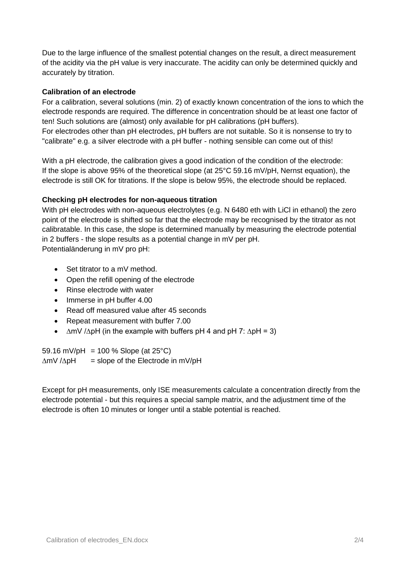Due to the large influence of the smallest potential changes on the result, a direct measurement of the acidity via the pH value is very inaccurate. The acidity can only be determined quickly and accurately by titration.

# **Calibration of an electrode**

For a calibration, several solutions (min. 2) of exactly known concentration of the ions to which the electrode responds are required. The difference in concentration should be at least one factor of ten! Such solutions are (almost) only available for pH calibrations (pH buffers). For electrodes other than pH electrodes, pH buffers are not suitable. So it is nonsense to try to "calibrate" e.g. a silver electrode with a pH buffer - nothing sensible can come out of this!

With a pH electrode, the calibration gives a good indication of the condition of the electrode: If the slope is above 95% of the theoretical slope (at 25°C 59.16 mV/pH, Nernst equation), the electrode is still OK for titrations. If the slope is below 95%, the electrode should be replaced.

### **Checking pH electrodes for non-aqueous titration**

With pH electrodes with non-aqueous electrolytes (e.g. N 6480 eth with LiCl in ethanol) the zero point of the electrode is shifted so far that the electrode may be recognised by the titrator as not calibratable. In this case, the slope is determined manually by measuring the electrode potential in 2 buffers - the slope results as a potential change in mV per pH. Potentialänderung in mV pro pH:

- Set titrator to a mV method.
- Open the refill opening of the electrode
- Rinse electrode with water
- Immerse in pH buffer 4.00
- Read off measured value after 45 seconds
- Repeat measurement with buffer 7.00
- ∆mV /∆pH (in the example with buffers pH 4 and pH 7: ∆pH = 3)

59.16 mV/pH = 100 % Slope (at  $25^{\circ}$ C) ∆mV /∆pH = slope of the Electrode in mV/pH

Except for pH measurements, only ISE measurements calculate a concentration directly from the electrode potential - but this requires a special sample matrix, and the adjustment time of the electrode is often 10 minutes or longer until a stable potential is reached.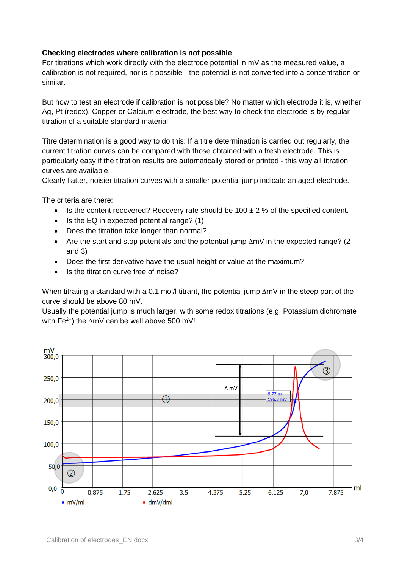## **Checking electrodes where calibration is not possible**

For titrations which work directly with the electrode potential in  $mV$  as the measured value, a calibration is not required, nor is it possible - the potential is not converted into a concentration or similar.

But how to test an electrode if calibration is not possible? No matter which electrode it is, whether Ag, Pt (redox), Copper or Calcium electrode, the best way to check the electrode is by regular titration of a suitable standard material.

Titre determination is a good way to do this: If a titre determination is carried out regularly, the current titration curves can be compared with those obtained with a fresh electrode. This is particularly easy if the titration results are automatically stored or printed - this way all titration curves are available.

Clearly flatter, noisier titration curves with a smaller potential jump indicate an aged electrode.

The criteria are there:

- Is the content recovered? Recovery rate should be  $100 \pm 2\%$  of the specified content.
- $\bullet$  Is the EQ in expected potential range? (1)
- Does the titration take longer than normal?
- Are the start and stop potentials and the potential jump ∆mV in the expected range? (2 and 3)
- Does the first derivative have the usual height or value at the maximum?
- Is the titration curve free of noise?

When titrating a standard with a 0.1 mol/l titrant, the potential jump ∆mV in the steep part of the curve should be above 80 mV.

Usually the potential jump is much larger, with some redox titrations (e.g. Potassium dichromate with Fe<sup>2+</sup>) the  $\Delta mV$  can be well above 500 mV!